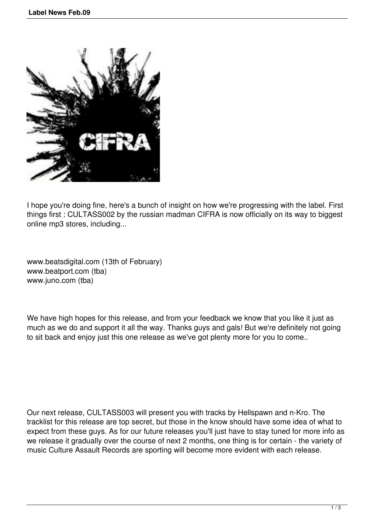

I hope you're doing fine, here's a bunch of insight on how we're progressing with the label. First things first : CULTASS002 by the russian madman CIFRA is now officially on its way to biggest online mp3 stores, including...

www.beatsdigital.com (13th of February) www.beatport.com (tba) www.juno.com (tba)

We have high hopes for this release, and from your feedback we know that you like it just as much as we do and support it all the way. Thanks guys and gals! But we're definitely not going to sit back and enjoy just this one release as we've got plenty more for you to come..

Our next release, CULTASS003 will present you with tracks by Hellspawn and n-Kro. The tracklist for this release are top secret, but those in the know should have some idea of what to expect from these guys. As for our future releases you'll just have to stay tuned for more info as we release it gradually over the course of next 2 months, one thing is for certain - the variety of music Culture Assault Records are sporting will become more evident with each release.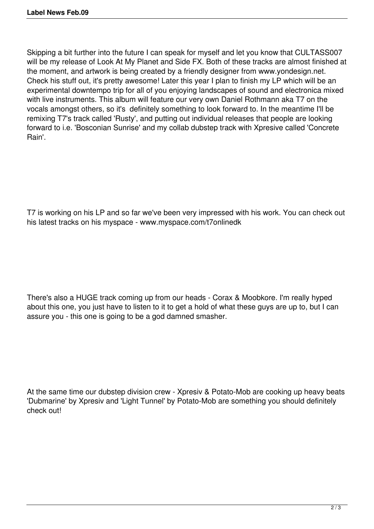Skipping a bit further into the future I can speak for myself and let you know that CULTASS007 will be my release of Look At My Planet and Side FX. Both of these tracks are almost finished at the moment, and artwork is being created by a friendly designer from www.yondesign.net. Check his stuff out, it's pretty awesome! Later this year I plan to finish my LP which will be an experimental downtempo trip for all of you enjoying landscapes of sound and electronica mixed with live instruments. This album will feature our very own Daniel Rothmann aka T7 on the vocals amongst others, so it's definitely something to look forward to. In the meantime I'll be remixing T7's track called 'Rusty', and putting out individual releases that people are looking forward to i.e. 'Bosconian Sunrise' and my collab dubstep track with Xpresive called 'Concrete Rain'.

T7 is working on his LP and so far we've been very impressed with his work. You can check out his latest tracks on his myspace - www.myspace.com/t7onlinedk

There's also a HUGE track coming up from our heads - Corax & Moobkore. I'm really hyped about this one, you just have to listen to it to get a hold of what these guys are up to, but I can assure you - this one is going to be a god damned smasher.

At the same time our dubstep division crew - Xpresiv & Potato-Mob are cooking up heavy beats 'Dubmarine' by Xpresiv and 'Light Tunnel' by Potato-Mob are something you should definitely check out!